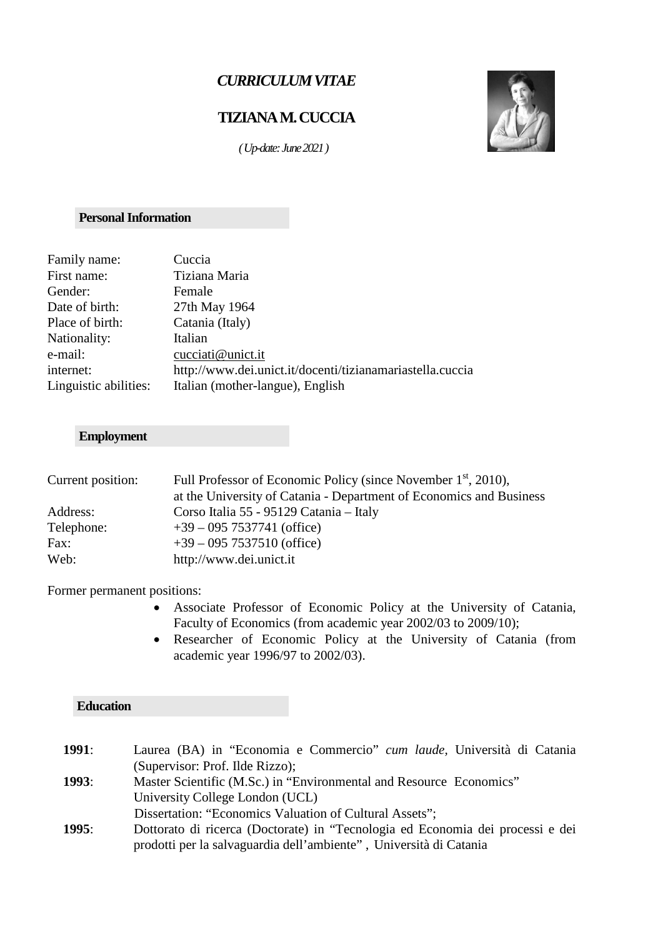# *CURRICULUM VITAE*

# **TIZIANA M. CUCCIA**

 *( Up-date: June2021)*

## **Personal Information**

| Family name:          | Cuccia                                                    |
|-----------------------|-----------------------------------------------------------|
| First name:           | Tiziana Maria                                             |
| Gender:               | Female                                                    |
| Date of birth:        | 27th May 1964                                             |
| Place of birth:       | Catania (Italy)                                           |
| Nationality:          | Italian                                                   |
| e-mail:               | cucciati@unict.it                                         |
| internet:             | http://www.dei.unict.it/docenti/tizianamariastella.cuccia |
| Linguistic abilities: | Italian (mother-langue), English                          |
|                       |                                                           |

# **Employment**

| Current position: | Full Professor of Economic Policy (since November 1 <sup>st</sup> , 2010), |
|-------------------|----------------------------------------------------------------------------|
|                   | at the University of Catania - Department of Economics and Business        |
| Address:          | Corso Italia 55 - 95129 Catania - Italy                                    |
| Telephone:        | $+39 - 095$ 7537741 (office)                                               |
| Fax:              | $+39 - 095$ 7537510 (office)                                               |
| Web:              | http://www.dei.unict.it                                                    |

Former permanent positions:

**Education**

- Associate Professor of Economic Policy at the University of Catania, Faculty of Economics (from academic year 2002/03 to 2009/10);
- Researcher of Economic Policy at the University of Catania (from academic year 1996/97 to 2002/03).

| <b>1991:</b> | Laurea (BA) in "Economia e Commercio" <i>cum laude</i> , Università di Catania |  |
|--------------|--------------------------------------------------------------------------------|--|
|              | (Supervisor: Prof. Ilde Rizzo);                                                |  |
| <b>1993:</b> | Master Scientific (M.Sc.) in "Environmental and Resource Economics"            |  |
|              | University College London (UCL)                                                |  |
|              | Dissertation: "Economics Valuation of Cultural Assets";                        |  |
| <b>1995:</b> | Dottorato di ricerca (Doctorate) in "Tecnologia ed Economia dei processi e dei |  |
|              | prodotti per la salvaguardia dell'ambiente", Università di Catania             |  |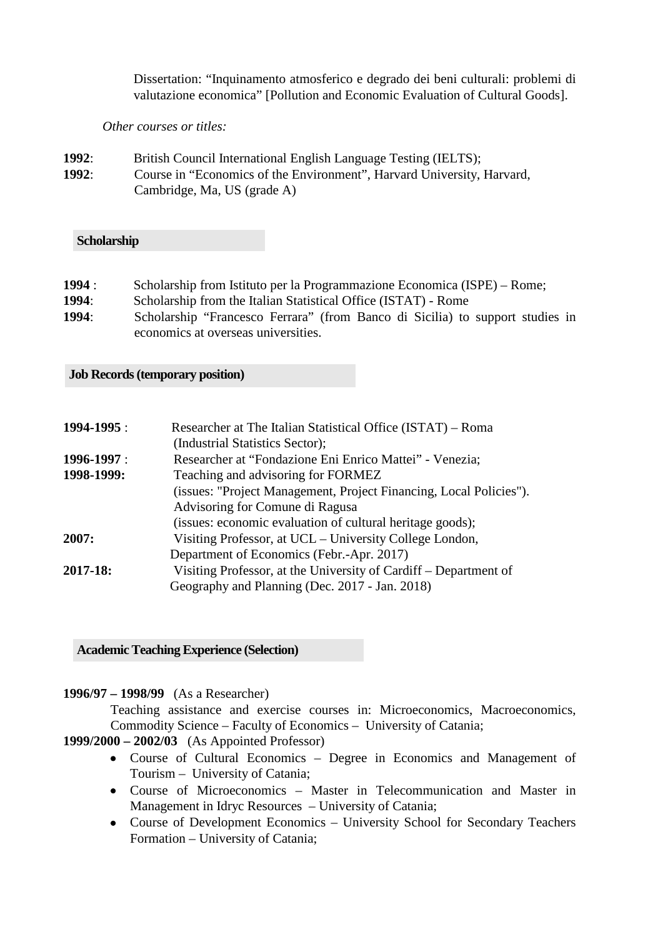Dissertation: "Inquinamento atmosferico e degrado dei beni culturali: problemi di valutazione economica" [Pollution and Economic Evaluation of Cultural Goods].

*Other courses or titles:*

- **1992**: British Council International English Language Testing (IELTS);
- **1992**: Course in "Economics of the Environment", Harvard University, Harvard, Cambridge, Ma, US (grade A)

#### **Scholarship**

| 1994:<br>Scholarship from Istituto per la Programmazione Economica (ISPE) – Rome; |  |
|-----------------------------------------------------------------------------------|--|
|-----------------------------------------------------------------------------------|--|

- **1994**: Scholarship from the Italian Statistical Office (ISTAT) Rome
- **1994**: Scholarship "Francesco Ferrara" (from Banco di Sicilia) to support studies in economics at overseas universities.

#### **Job Records (temporary position)**

| Researcher at The Italian Statistical Office (ISTAT) – Roma        |
|--------------------------------------------------------------------|
| (Industrial Statistics Sector);                                    |
| Researcher at "Fondazione Eni Enrico Mattei" - Venezia;            |
| Teaching and advisoring for FORMEZ                                 |
| (issues: "Project Management, Project Financing, Local Policies"). |
| Advisoring for Comune di Ragusa                                    |
| (issues: economic evaluation of cultural heritage goods);          |
| Visiting Professor, at UCL – University College London,            |
| Department of Economics (Febr.-Apr. 2017)                          |
| Visiting Professor, at the University of Cardiff – Department of   |
| Geography and Planning (Dec. 2017 - Jan. 2018)                     |
|                                                                    |

#### **Academic Teaching Experience (Selection)**

## **1996/97 – 1998/99** (As a Researcher)

Teaching assistance and exercise courses in: Microeconomics, Macroeconomics, Commodity Science – Faculty of Economics – University of Catania;

# **1999/2000 – 2002/03** (As Appointed Professor)

- Course of Cultural Economics Degree in Economics and Management of Tourism – University of Catania;
- Course of Microeconomics Master in Telecommunication and Master in Management in Idryc Resources – University of Catania;
- Course of Development Economics University School for Secondary Teachers Formation – University of Catania;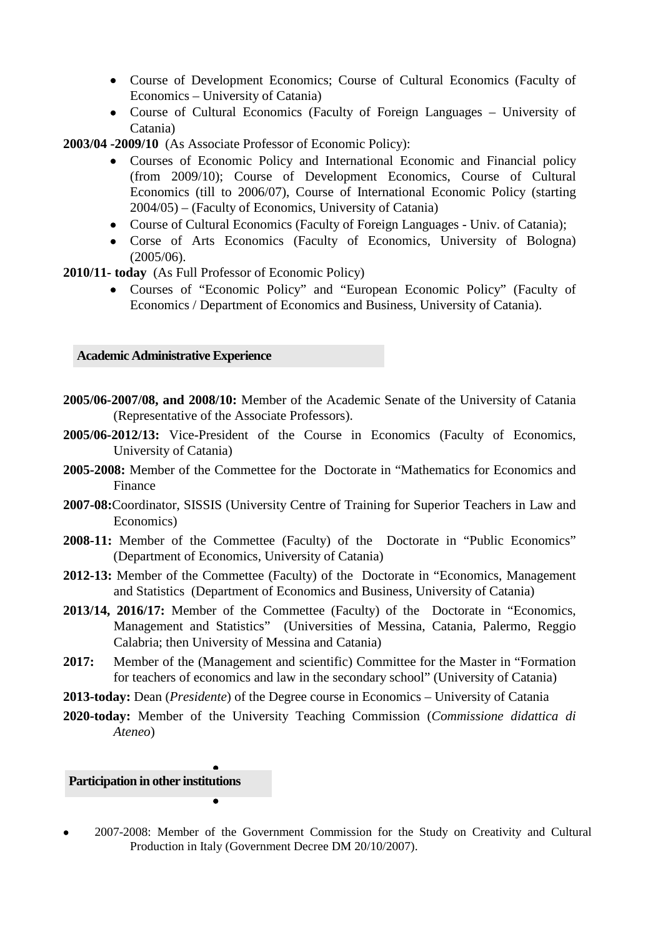- Course of Development Economics; Course of Cultural Economics (Faculty of Economics – University of Catania)
- Course of Cultural Economics (Faculty of Foreign Languages University of Catania)

**2003/04 -2009/10** (As Associate Professor of Economic Policy):

- Courses of Economic Policy and International Economic and Financial policy (from 2009/10); Course of Development Economics, Course of Cultural Economics (till to 2006/07), Course of International Economic Policy (starting 2004/05) – (Faculty of Economics, University of Catania)
- Course of Cultural Economics (Faculty of Foreign Languages Univ. of Catania);
- Corse of Arts Economics (Faculty of Economics, University of Bologna) (2005/06).

**2010/11- today** (As Full Professor of Economic Policy)

• Courses of "Economic Policy" and "European Economic Policy" (Faculty of Economics / Department of Economics and Business, University of Catania).

#### **Academic Administrative Experience**

- **2005/06-2007/08, and 2008/10:** Member of the Academic Senate of the University of Catania (Representative of the Associate Professors).
- **2005/06-2012/13:** Vice-President of the Course in Economics (Faculty of Economics, University of Catania)
- **2005-2008:** Member of the Commettee for the Doctorate in "Mathematics for Economics and Finance
- **2007-08:**Coordinator, SISSIS (University Centre of Training for Superior Teachers in Law and Economics)
- **2008-11:** Member of the Commettee (Faculty) of the Doctorate in "Public Economics" (Department of Economics, University of Catania)
- **2012-13:** Member of the Commettee (Faculty) of the Doctorate in "Economics, Management and Statistics (Department of Economics and Business, University of Catania)
- **2013/14, 2016/17:** Member of the Commettee (Faculty) of the Doctorate in "Economics, Management and Statistics" (Universities of Messina, Catania, Palermo, Reggio Calabria; then University of Messina and Catania)
- **2017:** Member of the (Management and scientific) Committee for the Master in "Formation for teachers of economics and law in the secondary school" (University of Catania)
- **2013-today:** Dean (*Presidente*) of the Degree course in Economics University of Catania
- **2020-today:** Member of the University Teaching Commission (*Commissione didattica di Ateneo*)

# • • **Participation in other institutions**

•

• 2007-2008: Member of the Government Commission for the Study on Creativity and Cultural Production in Italy (Government Decree DM 20/10/2007).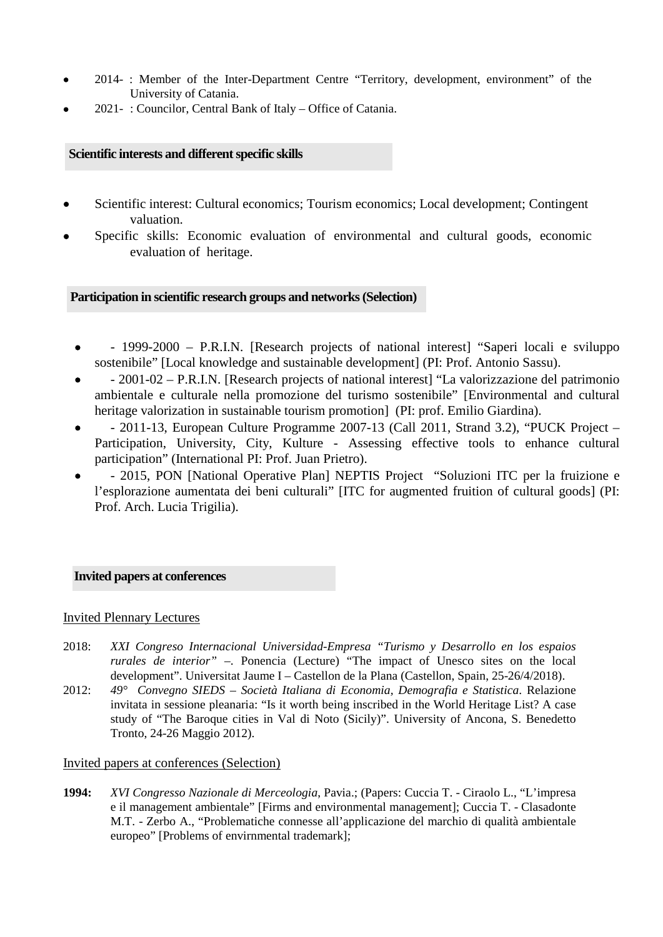- 2014- : Member of the Inter-Department Centre "Territory, development, environment" of the University of Catania.
- 2021- : Councilor, Central Bank of Italy Office of Catania.

## **Scientific interests and different specific skills**

- Scientific interest: Cultural economics; Tourism economics; Local development; Contingent valuation.
- Specific skills: Economic evaluation of environmental and cultural goods, economic evaluation of heritage.

# **Participation in scientific research groups and networks (Selection)**

- - 1999-2000 P.R.I.N. [Research projects of national interest] "Saperi locali e sviluppo sostenibile" [Local knowledge and sustainable development] (PI: Prof. Antonio Sassu).
- - 2001-02 P.R.I.N. [Research projects of national interest] "La valorizzazione del patrimonio ambientale e culturale nella promozione del turismo sostenibile" [Environmental and cultural heritage valorization in sustainable tourism promotion] (PI: prof. Emilio Giardina).
- - 2011-13, European Culture Programme 2007-13 (Call 2011, Strand 3.2), "PUCK Project Participation, University, City, Kulture - Assessing effective tools to enhance cultural participation" (International PI: Prof. Juan Prietro).
- - 2015, PON [National Operative Plan] NEPTIS Project "Soluzioni ITC per la fruizione e l'esplorazione aumentata dei beni culturali" [ITC for augmented fruition of cultural goods] (PI: Prof. Arch. Lucia Trigilia).

## **Invited papers at conferences**

## Invited Plennary Lectures

- 2018: *XXI Congreso Internacional Universidad-Empresa "Turismo y Desarrollo en los espaios rurales de interior"* –. Ponencia (Lecture) "The impact of Unesco sites on the local development". Universitat Jaume I – Castellon de la Plana (Castellon, Spain, 25-26/4/2018).
- 2012: *49° Convegno SIEDS – Società Italiana di Economia, Demografia e Statistica*. Relazione invitata in sessione pleanaria: "Is it worth being inscribed in the World Heritage List? A case study of "The Baroque cities in Val di Noto (Sicily)". University of Ancona, S. Benedetto Tronto, 24-26 Maggio 2012).

#### Invited papers at conferences (Selection)

**1994:** *XVI Congresso Nazionale di Merceologia*, Pavia.; (Papers: Cuccia T. - Ciraolo L., "L'impresa e il management ambientale" [Firms and environmental management]; Cuccia T. - Clasadonte M.T. - Zerbo A., "Problematiche connesse all'applicazione del marchio di qualità ambientale europeo" [Problems of envirnmental trademark];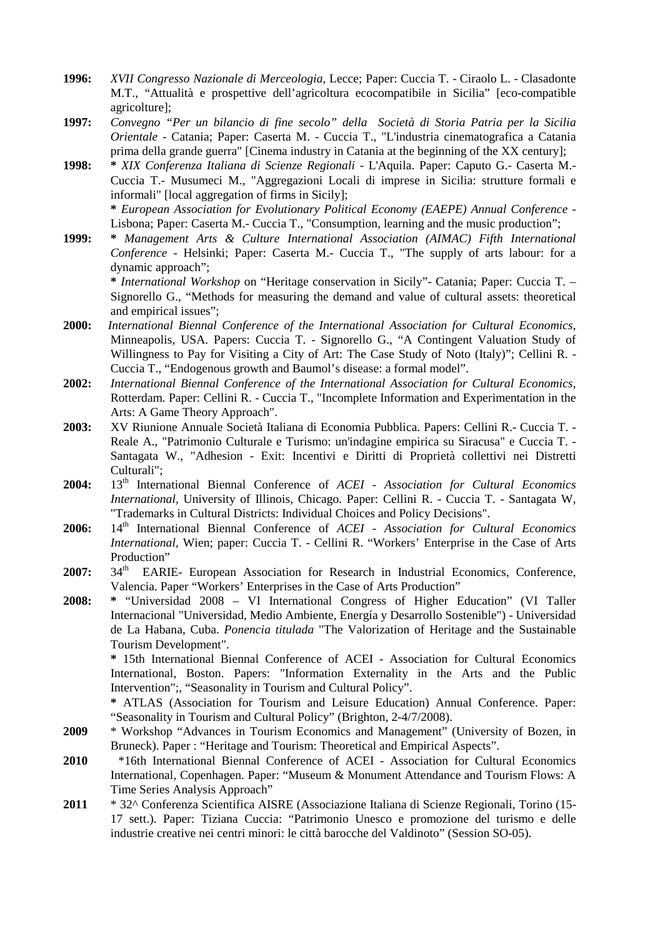- **1996:** *XVII Congresso Nazionale di Merceologia*, Lecce; Paper: Cuccia T. Ciraolo L. Clasadonte M.T., "Attualità e prospettive dell'agricoltura ecocompatibile in Sicilia" [eco-compatible agricolture];
- **1997:** *Convegno "Per un bilancio di fine secolo" della Società di Storia Patria per la Sicilia Orientale* - Catania; Paper: Caserta M. - Cuccia T., "L'industria cinematografica a Catania prima della grande guerra" [Cinema industry in Catania at the beginning of the XX century];
- **1998: \*** *XIX Conferenza Italiana di Scienze Regionali* L'Aquila. Paper: Caputo G.- Caserta M.- Cuccia T.- Musumeci M., "Aggregazioni Locali di imprese in Sicilia: strutture formali e informali" [local aggregation of firms in Sicily];

**\*** *European Association for Evolutionary Political Economy (EAEPE) Annual Conference* - Lisbona; Paper: Caserta M.- Cuccia T., "Consumption, learning and the music production";

**1999: \*** *Management Arts & Culture International Association (AIMAC) Fifth International Conference* - Helsinki; Paper: Caserta M.- Cuccia T., "The supply of arts labour: for a dynamic approach";

**\*** *International Workshop* on "Heritage conservation in Sicily"- Catania; Paper: Cuccia T. – Signorello G., "Methods for measuring the demand and value of cultural assets: theoretical and empirical issues";

- **2000:** *International Biennal Conference of the International Association for Cultural Economics*, Minneapolis, USA. Papers: Cuccia T. - Signorello G., "A Contingent Valuation Study of Willingness to Pay for Visiting a City of Art: The Case Study of Noto (Italy)"; Cellini R. -Cuccia T., "Endogenous growth and Baumol's disease: a formal model".
- **2002:** *International Biennal Conference of the International Association for Cultural Economics*, Rotterdam. Paper: Cellini R. - Cuccia T., "Incomplete Information and Experimentation in the Arts: A Game Theory Approach".
- **2003:** XV Riunione Annuale Società Italiana di Economia Pubblica. Papers: Cellini R.- Cuccia T. Reale A., "Patrimonio Culturale e Turismo: un'indagine empirica su Siracusa" e Cuccia T. - Santagata W., "Adhesion - Exit: Incentivi e Diritti di Proprietà collettivi nei Distretti Culturali";
- **2004:** 13th International Biennal Conference of *ACEI - Association for Cultural Economics International*, University of Illinois, Chicago. Paper: Cellini R. - Cuccia T. - Santagata W, "Trademarks in Cultural Districts: Individual Choices and Policy Decisions".
- **2006:** 14<sup>th</sup> International Biennal Conference of *ACEI Association for Cultural Economics International*, Wien; paper: Cuccia T. - Cellini R. "Workers' Enterprise in the Case of Arts Production"
- 2007: 34<sup>th</sup> EARIE- European Association for Research in Industrial Economics, Conference, Valencia. Paper "Workers' Enterprises in the Case of Arts Production"
- **2008: \*** "Universidad 2008 VI International Congress of Higher Education" (VI Taller Internacional "Universidad, Medio Ambiente, Energía y Desarrollo Sostenible") - Universidad de La Habana, Cuba. *Ponencia titulada* "The Valorization of Heritage and the Sustainable Tourism Development".

**\*** 15th International Biennal Conference of ACEI - Association for Cultural Economics International, Boston. Papers: "Information Externality in the Arts and the Public Intervention";, "Seasonality in Tourism and Cultural Policy".

**\*** ATLAS (Association for Tourism and Leisure Education) Annual Conference. Paper: "Seasonality in Tourism and Cultural Policy" (Brighton, 2-4/7/2008).

- **2009** \* Workshop "Advances in Tourism Economics and Management" (University of Bozen, in Bruneck). Paper : "Heritage and Tourism: Theoretical and Empirical Aspects".
- **2010** \*16th International Biennal Conference of ACEI Association for Cultural Economics International, Copenhagen. Paper: "Museum & Monument Attendance and Tourism Flows: A Time Series Analysis Approach"
- **2011** \* 32^ Conferenza Scientifica AISRE (Associazione Italiana di Scienze Regionali, Torino (15- 17 sett.). Paper: Tiziana Cuccia: "Patrimonio Unesco e promozione del turismo e delle industrie creative nei centri minori: le città barocche del Valdinoto" (Session SO-05).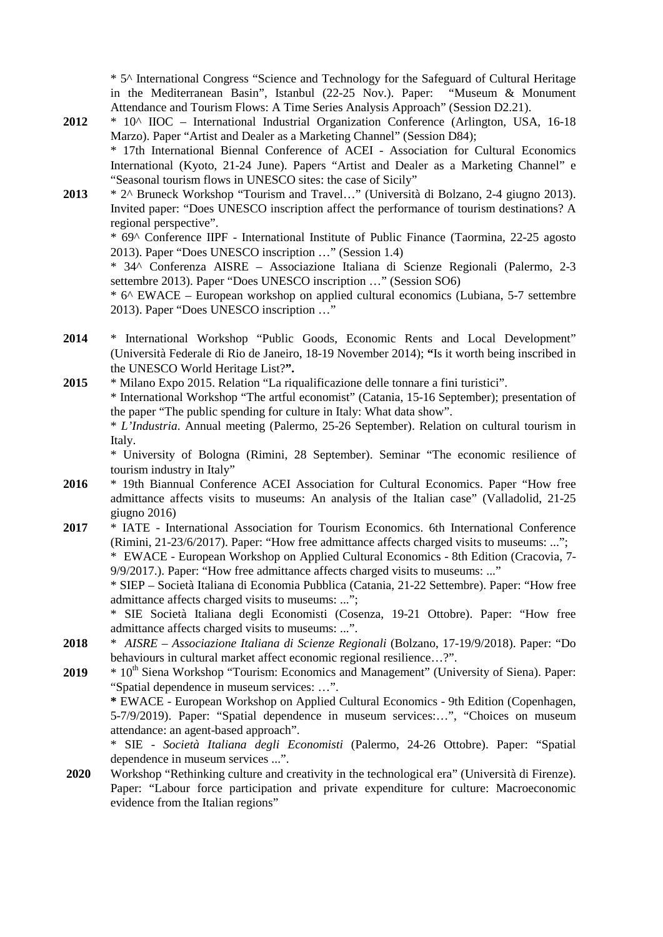\* 5^ International Congress "Science and Technology for the Safeguard of Cultural Heritage in the Mediterranean Basin", Istanbul (22-25 Nov.). Paper: "Museum & Monument Attendance and Tourism Flows: A Time Series Analysis Approach" (Session D2.21).

**2012** \* 10^ IIOC – International Industrial Organization Conference (Arlington, USA, 16-18 Marzo). Paper "Artist and Dealer as a Marketing Channel" (Session D84); \* 17th International Biennal Conference of ACEI - Association for Cultural Economics

International (Kyoto, 21-24 June). Papers "Artist and Dealer as a Marketing Channel" e "Seasonal tourism flows in UNESCO sites: the case of Sicily"

**2013** \* 2^ Bruneck Workshop "Tourism and Travel…" (Università di Bolzano, 2-4 giugno 2013). Invited paper: "Does UNESCO inscription affect the performance of tourism destinations? A regional perspective".

\* 69^ Conference IIPF - International Institute of Public Finance (Taormina, 22-25 agosto 2013). Paper "Does UNESCO inscription …" (Session 1.4)

\* 34^ Conferenza AISRE – Associazione Italiana di Scienze Regionali (Palermo, 2-3 settembre 2013). Paper "Does UNESCO inscription …" (Session SO6)

\* 6^ EWACE – European workshop on applied cultural economics (Lubiana, 5-7 settembre 2013). Paper "Does UNESCO inscription …"

- **2014** \* International Workshop "Public Goods, Economic Rents and Local Development" (Università Federale di Rio de Janeiro, 18-19 November 2014); **"**Is it worth being inscribed in the UNESCO World Heritage List?**".**
- **2015** \* Milano Expo 2015. Relation "La riqualificazione delle tonnare a fini turistici". \* International Workshop "The artful economist" (Catania, 15-16 September); presentation of the paper "The public spending for culture in Italy: What data show".

\* *L'Industria*. Annual meeting (Palermo, 25-26 September). Relation on cultural tourism in Italy.

\* University of Bologna (Rimini, 28 September). Seminar "The economic resilience of tourism industry in Italy"

- **2016** \* 19th Biannual Conference ACEI Association for Cultural Economics. Paper "How free admittance affects visits to museums: An analysis of the Italian case" (Valladolid, 21-25 giugno 2016)
- **2017** \* IATE International Association for Tourism Economics. 6th International Conference (Rimini, 21-23/6/2017). Paper: "How free admittance affects charged visits to museums: ..."; \* EWACE - European Workshop on Applied Cultural Economics - 8th Edition (Cracovia, 7- 9/9/2017.). Paper: "How free admittance affects charged visits to museums: ..."

\* SIEP – Società Italiana di Economia Pubblica (Catania, 21-22 Settembre). Paper: "How free admittance affects charged visits to museums: ...";

\* SIE Società Italiana degli Economisti (Cosenza, 19-21 Ottobre). Paper: "How free admittance affects charged visits to museums: ...".

- **2018** \* *AISRE – Associazione Italiana di Scienze Regionali* (Bolzano, 17-19/9/2018). Paper: "Do behaviours in cultural market affect economic regional resilience…?".
- **2019** \* 10<sup>th</sup> Siena Workshop "Tourism: Economics and Management" (University of Siena). Paper: "Spatial dependence in museum services: …".

**\*** EWACE - European Workshop on Applied Cultural Economics - 9th Edition (Copenhagen, 5-7/9/2019). Paper: "Spatial dependence in museum services:…", "Choices on museum attendance: an agent-based approach".

\* SIE - *Società Italiana degli Economisti* (Palermo, 24-26 Ottobre). Paper: "Spatial dependence in museum services ...".

**2020** Workshop "Rethinking culture and creativity in the technological era" (Università di Firenze). Paper: "Labour force participation and private expenditure for culture: Macroeconomic evidence from the Italian regions"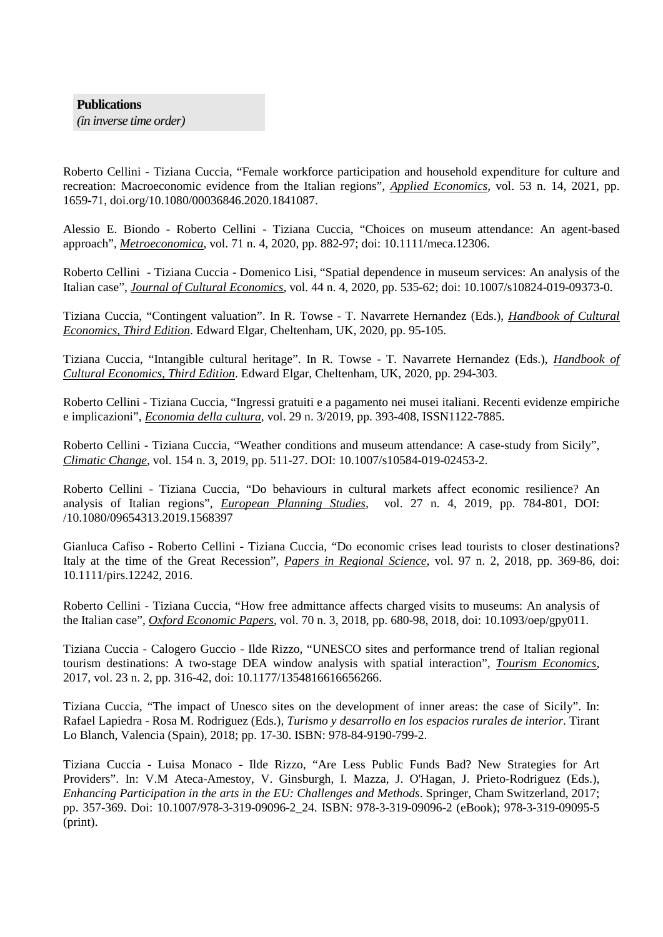#### **Publications**

*(in inverse time order)*

Roberto Cellini - Tiziana Cuccia, "Female workforce participation and household expenditure for culture and recreation: Macroeconomic evidence from the Italian regions", *Applied Economics*, vol. 53 n. 14, 2021, pp. 1659-71, doi.org/10.1080/00036846.2020.1841087.

Alessio E. Biondo - Roberto Cellini - Tiziana Cuccia, "Choices on museum attendance: An agent-based approach", *Metroeconomica*, vol. 71 n. 4, 2020, pp. 882-97; doi: 10.1111/meca.12306.

Roberto Cellini - Tiziana Cuccia - Domenico Lisi, "Spatial dependence in museum services: An analysis of the Italian case", *Journal of Cultural Economics*, vol. 44 n. 4, 2020, pp. 535-62; doi: 10.1007/s10824-019-09373-0.

Tiziana Cuccia, "Contingent valuation". In R. Towse - T. Navarrete Hernandez (Eds.), *Handbook of Cultural Economics, Third Edition*. Edward Elgar, Cheltenham, UK, 2020, pp. 95-105.

Tiziana Cuccia, "Intangible cultural heritage". In R. Towse - T. Navarrete Hernandez (Eds.), *Handbook of Cultural Economics, Third Edition*. Edward Elgar, Cheltenham, UK, 2020, pp. 294-303.

Roberto Cellini - Tiziana Cuccia, "Ingressi gratuiti e a pagamento nei musei italiani. Recenti evidenze empiriche e implicazioni", *Economia della cultura*, vol. 29 n. 3/2019, pp. 393-408, ISSN1122-7885.

Roberto Cellini - Tiziana Cuccia, "Weather conditions and museum attendance: A case-study from Sicily", *Climatic Change*, vol. 154 n. 3, 2019, pp. 511-27. DOI: 10.1007/s10584-019-02453-2.

Roberto Cellini - Tiziana Cuccia, "Do behaviours in cultural markets affect economic resilience? An analysis of Italian regions", *European Planning Studies*, vol. 27 n. 4, 2019, pp. 784-801, DOI: /10.1080/09654313.2019.1568397

Gianluca Cafiso - Roberto Cellini - Tiziana Cuccia, "Do economic crises lead tourists to closer destinations? Italy at the time of the Great Recession", *Papers in Regional Science*, vol. 97 n. 2, 2018, pp. 369-86, doi: 10.1111/pirs.12242, 2016.

Roberto Cellini - Tiziana Cuccia, "How free admittance affects charged visits to museums: An analysis of the Italian case", *Oxford Economic Papers*, vol. 70 n. 3, 2018, pp. 680-98, 2018, doi: 10.1093/oep/gpy011.

Tiziana Cuccia - Calogero Guccio - Ilde Rizzo, "UNESCO sites and performance trend of Italian regional tourism destinations: A two-stage DEA window analysis with spatial interaction", *Tourism Economics*, 2017, vol. 23 n. 2, pp. 316-42, doi: 10.1177/1354816616656266.

Tiziana Cuccia, "The impact of Unesco sites on the development of inner areas: the case of Sicily". In: Rafael Lapiedra - Rosa M. Rodriguez (Eds.), *Turismo y desarrollo en los espacios rurales de interior*. Tirant Lo Blanch, Valencia (Spain), 2018; pp. 17-30. ISBN: 978-84-9190-799-2.

Tiziana Cuccia - Luisa Monaco - Ilde Rizzo, "Are Less Public Funds Bad? New Strategies for Art Providers". In: V.M Ateca-Amestoy, V. Ginsburgh, I. Mazza, J. O'Hagan, J. Prieto-Rodriguez (Eds.), *Enhancing Participation in the arts in the EU: Challenges and Methods*. Springer, Cham Switzerland, 2017; pp. 357-369. Doi: 10.1007/978-3-319-09096-2\_24. ISBN: 978-3-319-09096-2 (eBook); 978-3-319-09095-5 (print).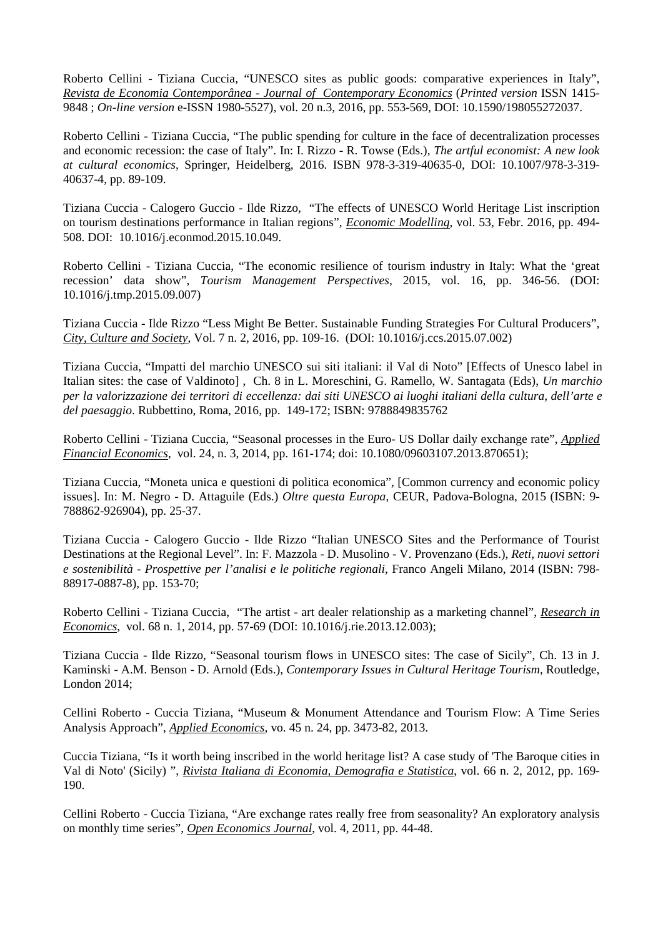Roberto Cellini - Tiziana Cuccia, "UNESCO sites as public goods: comparative experiences in Italy", *Revista de Economia Contemporânea - Journal of Contemporary Economics* (*Printed version* ISSN 1415- 9848 ; *On-line version* e-ISSN 1980-5527), vol. 20 n.3, 2016, pp. 553-569, DOI: 10.1590/198055272037.

Roberto Cellini - Tiziana Cuccia, "The public spending for culture in the face of decentralization processes and economic recession: the case of Italy". In: I. Rizzo - R. Towse (Eds.), *The artful economist: A new look at cultural economics*, Springer, Heidelberg, 2016. ISBN 978-3-319-40635-0, DOI: 10.1007/978-3-319- 40637-4, pp. 89-109.

Tiziana Cuccia - Calogero Guccio - Ilde Rizzo, "The effects of UNESCO World Heritage List inscription on tourism destinations performance in Italian regions", *Economic Modelling*, vol. 53, Febr. 2016, pp. 494- 508. DOI: [10.1016/j.econmod.2015.10.049.](http://dx.doi.org/10.1016/j.econmod.2015.10.049)

Roberto Cellini - Tiziana Cuccia, "The economic resilience of tourism industry in Italy: What the 'great recession' data show", *Tourism Management Perspectives*, 2015, vol. 16, pp. 346-56. (DOI: 10.1016/j.tmp.2015.09.007)

Tiziana Cuccia - Ilde Rizzo "Less Might Be Better. Sustainable Funding Strategies For Cultural Producers", *City, Culture and Society*, Vol. 7 n. 2, 2016, pp. 109-16. (DOI: 10.1016/j.ccs.2015.07.002)

Tiziana Cuccia, "Impatti del marchio UNESCO sui siti italiani: il Val di Noto" [Effects of Unesco label in Italian sites: the case of Valdinoto] , Ch. 8 in L. Moreschini, G. Ramello, W. Santagata (Eds), *Un marchio per la valorizzazione dei territori di eccellenza: dai siti UNESCO ai luoghi italiani della cultura, dell'arte e del paesaggio*. Rubbettino, Roma, 2016, pp. 149-172; ISBN: 9788849835762

Roberto Cellini - Tiziana Cuccia, "Seasonal processes in the Euro- US Dollar daily exchange rate", *Applied Financial Economics*, vol. 24, n. 3, 2014, pp. 161-174; doi: 10.1080/09603107.2013.870651);

Tiziana Cuccia, "Moneta unica e questioni di politica economica", [Common currency and economic policy issues]. In: M. Negro - D. Attaguile (Eds.) *Oltre questa Europa*, CEUR, Padova-Bologna, 2015 (ISBN: 9- 788862-926904), pp. 25-37.

Tiziana Cuccia - Calogero Guccio - Ilde Rizzo "Italian UNESCO Sites and the Performance of Tourist Destinations at the Regional Level". In: F. Mazzola - D. Musolino - V. Provenzano (Eds.), *Reti, nuovi settori e sostenibilità - Prospettive per l'analisi e le politiche regionali*, Franco Angeli Milano, 2014 (ISBN: 798- 88917-0887-8), pp. 153-70;

Roberto Cellini - Tiziana Cuccia, "The artist - art dealer relationship as a marketing channel", *Research in Economics*, vol. 68 n. 1, 2014, pp. 57-69 (DOI: 10.1016/j.rie.2013.12.003);

Tiziana Cuccia - Ilde Rizzo, "Seasonal tourism flows in UNESCO sites: The case of Sicily", Ch. 13 in J. Kaminski - A.M. Benson - D. Arnold (Eds.), *Contemporary Issues in Cultural Heritage Tourism*, Routledge, London 2014;

Cellini Roberto - Cuccia Tiziana, "Museum & Monument Attendance and Tourism Flow: A Time Series Analysis Approach", *Applied Economics*, vo. 45 n. 24, pp. 3473-82, 2013.

Cuccia Tiziana, "Is it worth being inscribed in the world heritage list? A case study of 'The Baroque cities in Val di Noto' (Sicily) ", *Rivista Italiana di Economia, Demografia e Statistica*, vol. 66 n. 2, 2012, pp. 169- 190.

Cellini Roberto - Cuccia Tiziana, "Are exchange rates really free from seasonality? An exploratory analysis on monthly time series", *Open Economics Journal*, vol. 4, 2011, pp. 44-48.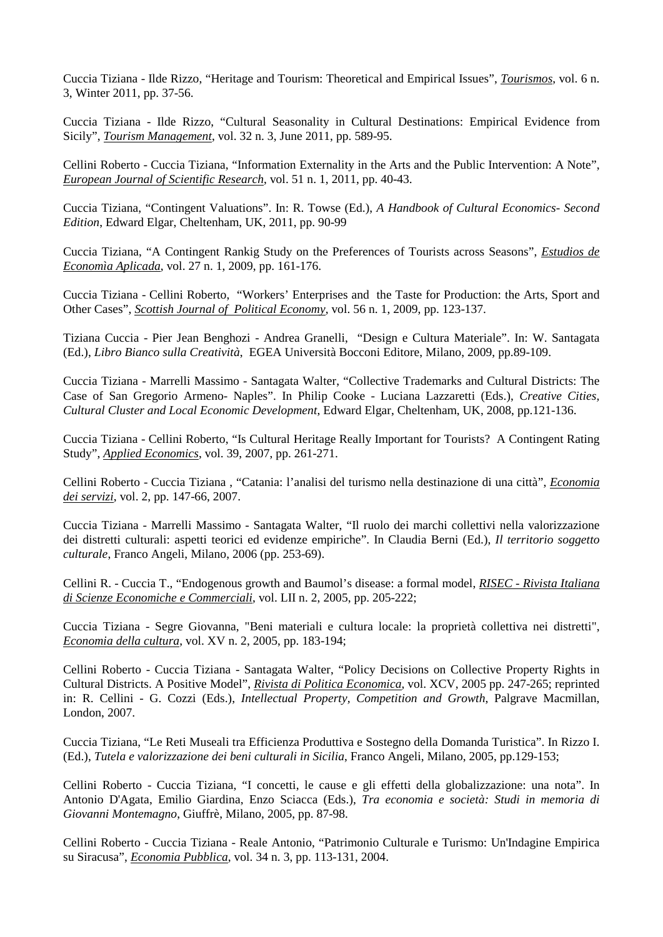Cuccia Tiziana - Ilde Rizzo, "Heritage and Tourism: Theoretical and Empirical Issues", *Tourismos*, vol. 6 n. 3, Winter 2011, pp. 37-56.

Cuccia Tiziana - Ilde Rizzo, "Cultural Seasonality in Cultural Destinations: Empirical Evidence from Sicily", *Tourism Management*, vol. 32 n. 3, June 2011, pp. 589-95.

Cellini Roberto - Cuccia Tiziana, "Information Externality in the Arts and the Public Intervention: A Note", *European Journal of Scientific Research*, vol. 51 n. 1, 2011, pp. 40-43.

Cuccia Tiziana, "Contingent Valuations". In: R. Towse (Ed.), *A Handbook of Cultural Economics- Second Edition*, Edward Elgar, Cheltenham, UK, 2011, pp. 90-99

Cuccia Tiziana, "A Contingent Rankig Study on the Preferences of Tourists across Seasons", *Estudios de Economìa Aplicada*, vol. 27 n. 1, 2009, pp. 161-176.

Cuccia Tiziana - Cellini Roberto, "Workers' Enterprises and the Taste for Production: the Arts, Sport and Other Cases", *Scottish Journal of Political Economy*, vol. 56 n. 1, 2009, pp. 123-137.

Tiziana Cuccia - Pier Jean Benghozi - Andrea Granelli, "Design e Cultura Materiale". In: W. Santagata (Ed.), *Libro Bianco sulla Creatività*, EGEA Università Bocconi Editore, Milano, 2009, pp.89-109.

Cuccia Tiziana - Marrelli Massimo - Santagata Walter, "Collective Trademarks and Cultural Districts: The Case of San Gregorio Armeno- Naples". In Philip Cooke - Luciana Lazzaretti (Eds.), *Creative Cities, Cultural Cluster and Local Economic Development*, Edward Elgar, Cheltenham, UK, 2008, pp.121-136.

Cuccia Tiziana - Cellini Roberto, "Is Cultural Heritage Really Important for Tourists? A Contingent Rating Study", *Applied Economics*, vol. 39, 2007, pp. 261-271.

Cellini Roberto - Cuccia Tiziana , "Catania: l'analisi del turismo nella destinazione di una città", *Economia dei servizi*, vol. 2, pp. 147-66, 2007.

Cuccia Tiziana - Marrelli Massimo - Santagata Walter, "Il ruolo dei marchi collettivi nella valorizzazione dei distretti culturali: aspetti teorici ed evidenze empiriche". In Claudia Berni (Ed.), *Il territorio soggetto culturale*, Franco Angeli, Milano, 2006 (pp. 253-69).

Cellini R. - Cuccia T., "Endogenous growth and Baumol's disease: a formal model, *RISEC - Rivista Italiana di Scienze Economiche e Commerciali*, vol. LII n. 2, 2005, pp. 205-222;

Cuccia Tiziana - Segre Giovanna, "Beni materiali e cultura locale: la proprietà collettiva nei distretti", *Economia della cultura*, vol. XV n. 2, 2005, pp. 183-194;

Cellini Roberto - Cuccia Tiziana - Santagata Walter, "Policy Decisions on Collective Property Rights in Cultural Districts. A Positive Model", *Rivista di Politica Economica*, vol. XCV, 2005 pp. 247-265; reprinted in: R. Cellini - G. Cozzi (Eds.), *Intellectual Property, Competition and Growth*, Palgrave Macmillan, London, 2007.

Cuccia Tiziana, "Le Reti Museali tra Efficienza Produttiva e Sostegno della Domanda Turistica". In Rizzo I. (Ed.), *Tutela e valorizzazione dei beni culturali in Sicilia*, Franco Angeli, Milano, 2005, pp.129-153;

Cellini Roberto - Cuccia Tiziana, "I concetti, le cause e gli effetti della globalizzazione: una nota". In Antonio D'Agata, Emilio Giardina, Enzo Sciacca (Eds.), *Tra economia e società: Studi in memoria di Giovanni Montemagno*, Giuffrè, Milano, 2005, pp. 87-98.

Cellini Roberto - Cuccia Tiziana - Reale Antonio, "Patrimonio Culturale e Turismo: Un'Indagine Empirica su Siracusa", *Economia Pubblica*, vol. 34 n. 3, pp. 113-131, 2004.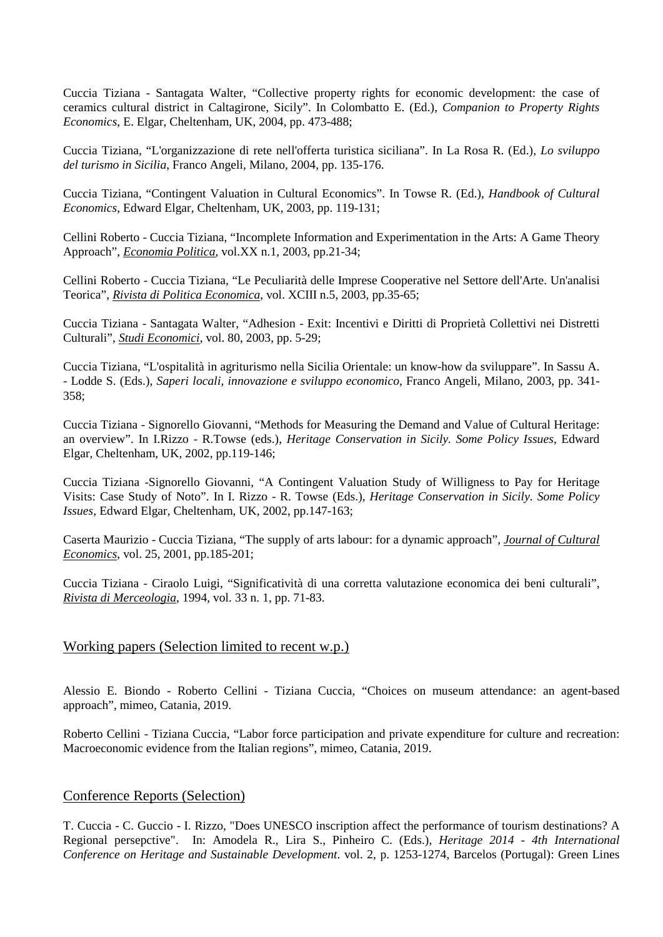Cuccia Tiziana - Santagata Walter, "Collective property rights for economic development: the case of ceramics cultural district in Caltagirone, Sicily". In Colombatto E. (Ed.), *Companion to Property Rights Economics*, E. Elgar, Cheltenham, UK, 2004, pp. 473-488;

Cuccia Tiziana, "L'organizzazione di rete nell'offerta turistica siciliana". In La Rosa R. (Ed.), *Lo sviluppo del turismo in Sicilia*, Franco Angeli, Milano, 2004, pp. 135-176.

Cuccia Tiziana, "Contingent Valuation in Cultural Economics". In Towse R. (Ed.), *Handbook of Cultural Economics*, Edward Elgar, Cheltenham, UK, 2003, pp. 119-131;

Cellini Roberto - Cuccia Tiziana, "Incomplete Information and Experimentation in the Arts: A Game Theory Approach", *Economia Politica*, vol.XX n.1, 2003, pp.21-34;

Cellini Roberto - Cuccia Tiziana, "Le Peculiarità delle Imprese Cooperative nel Settore dell'Arte. Un'analisi Teorica", *Rivista di Politica Economica*, vol. XCIII n.5, 2003, pp.35-65;

Cuccia Tiziana - Santagata Walter, "Adhesion - Exit: Incentivi e Diritti di Proprietà Collettivi nei Distretti Culturali", *Studi Economici*, vol. 80, 2003, pp. 5-29;

Cuccia Tiziana, "L'ospitalità in agriturismo nella Sicilia Orientale: un know-how da sviluppare". In Sassu A. - Lodde S. (Eds.), *Saperi locali, innovazione e sviluppo economico*, Franco Angeli, Milano, 2003, pp. 341- 358;

Cuccia Tiziana - Signorello Giovanni, "Methods for Measuring the Demand and Value of Cultural Heritage: an overview". In I.Rizzo - R.Towse (eds.), *Heritage Conservation in Sicily. Some Policy Issues*, Edward Elgar, Cheltenham, UK, 2002, pp.119-146;

Cuccia Tiziana -Signorello Giovanni, "A Contingent Valuation Study of Willigness to Pay for Heritage Visits: Case Study of Noto". In I. Rizzo - R. Towse (Eds.), *Heritage Conservation in Sicily. Some Policy Issues*, Edward Elgar, Cheltenham, UK, 2002, pp.147-163;

Caserta Maurizio - Cuccia Tiziana, "The supply of arts labour: for a dynamic approach", *Journal of Cultural Economics*, vol. 25, 2001, pp.185-201;

Cuccia Tiziana - Ciraolo Luigi, "Significatività di una corretta valutazione economica dei beni culturali", *Rivista di Merceologia*, 1994, vol. 33 n. 1, pp. 71-83.

# Working papers (Selection limited to recent w.p.)

Alessio E. Biondo - Roberto Cellini - Tiziana Cuccia, "Choices on museum attendance: an agent-based approach", mimeo, Catania, 2019.

Roberto Cellini - Tiziana Cuccia, "Labor force participation and private expenditure for culture and recreation: Macroeconomic evidence from the Italian regions", mimeo, Catania, 2019.

# Conference Reports (Selection)

T. Cuccia - C. Guccio - I. Rizzo, "Does UNESCO inscription affect the performance of tourism destinations? A Regional persepctive". In: Amodela R., Lira S., Pinheiro C. (Eds.), *Heritage 2014 - 4th International Conference on Heritage and Sustainable Development*. vol. 2, p. 1253-1274, Barcelos (Portugal): Green Lines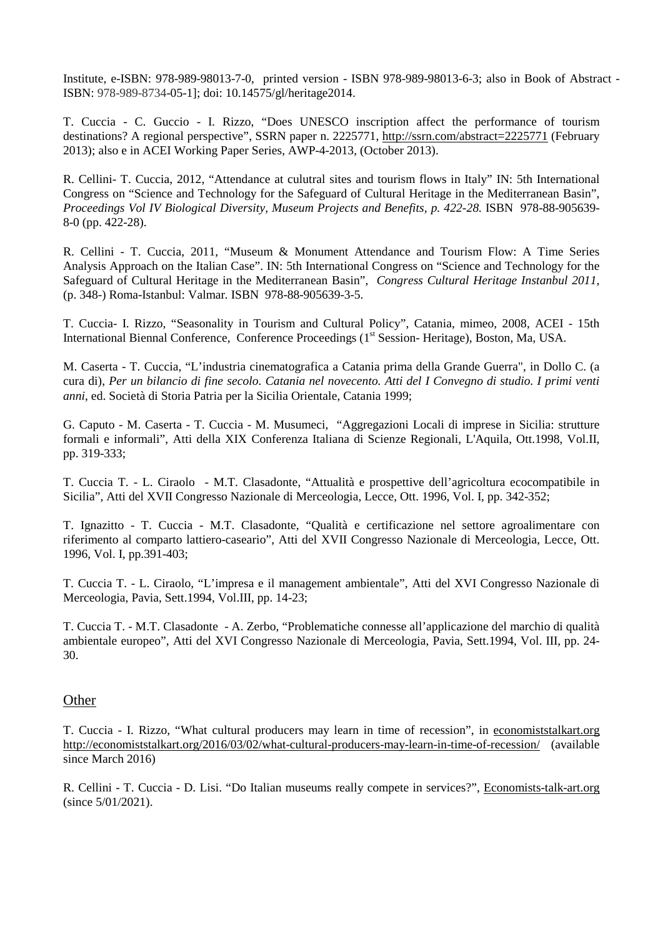Institute, e-ISBN: 978-989-98013-7-0, printed version - ISBN 978-989-98013-6-3; also in Book of Abstract - ISBN: 978-989-8734-05-1]; doi: 10.14575/gl/heritage2014.

T. Cuccia - C. Guccio - I. Rizzo, "Does UNESCO inscription affect the performance of tourism destinations? A regional perspective", SSRN paper n. 2225771, [http://ssrn.com/abstract=2225771](http://ssrn.com/abstract=2097704) (February 2013); also e in ACEI Working Paper Series, AWP-4-2013, (October 2013).

R. Cellini- T. Cuccia, 2012, "Attendance at culutral sites and tourism flows in Italy" IN: 5th International Congress on "Science and Technology for the Safeguard of Cultural Heritage in the Mediterranean Basin", *Proceedings Vol IV Biological Diversity, Museum Projects and Benefits, p. 422-28.* ISBN 978-88-905639-8-0 (pp. 422-28).

R. Cellini - T. Cuccia, 2011, "Museum & Monument Attendance and Tourism Flow: A Time Series Analysis Approach on the Italian Case". IN: 5th International Congress on "Science and Technology for the Safeguard of Cultural Heritage in the Mediterranean Basin", *Congress Cultural Heritage Instanbul 2011,*  (p. 348-) Roma-Istanbul: Valmar*.* ISBN 978-88-905639-3-5.

T. Cuccia- I. Rizzo, "Seasonality in Tourism and Cultural Policy", Catania, mimeo, 2008, ACEI - 15th International Biennal Conference, Conference Proceedings (1<sup>st</sup> Session- Heritage), Boston, Ma, USA.

M. Caserta - T. Cuccia, "L'industria cinematografica a Catania prima della Grande Guerra", in Dollo C. (a cura di), *Per un bilancio di fine secolo. Catania nel novecento. Atti del I Convegno di studio. I primi venti anni*, ed. Società di Storia Patria per la Sicilia Orientale, Catania 1999;

G. Caputo - M. Caserta - T. Cuccia - M. Musumeci, "Aggregazioni Locali di imprese in Sicilia: strutture formali e informali", Atti della XIX Conferenza Italiana di Scienze Regionali, L'Aquila, Ott.1998, Vol.II, pp. 319-333;

T. Cuccia T. - L. Ciraolo - M.T. Clasadonte, "Attualità e prospettive dell'agricoltura ecocompatibile in Sicilia", Atti del XVII Congresso Nazionale di Merceologia, Lecce, Ott. 1996, Vol. I, pp. 342-352;

T. Ignazitto - T. Cuccia - M.T. Clasadonte, "Qualità e certificazione nel settore agroalimentare con riferimento al comparto lattiero-caseario", Atti del XVII Congresso Nazionale di Merceologia, Lecce, Ott. 1996, Vol. I, pp.391-403;

T. Cuccia T. - L. Ciraolo, "L'impresa e il management ambientale", Atti del XVI Congresso Nazionale di Merceologia, Pavia, Sett.1994, Vol.III, pp. 14-23;

T. Cuccia T. - M.T. Clasadonte - A. Zerbo, "Problematiche connesse all'applicazione del marchio di qualità ambientale europeo", Atti del XVI Congresso Nazionale di Merceologia, Pavia, Sett.1994, Vol. III, pp. 24- 30.

## **Other**

T. Cuccia - I. Rizzo, "What cultural producers may learn in time of recession", in economiststalkart.org <http://economiststalkart.org/2016/03/02/what-cultural-producers-may-learn-in-time-of-recession/> (available since March 2016)

R. Cellini - T. Cuccia - D. Lisi. "Do Italian museums really compete in services?", Economists-talk-art.org (since 5/01/2021).